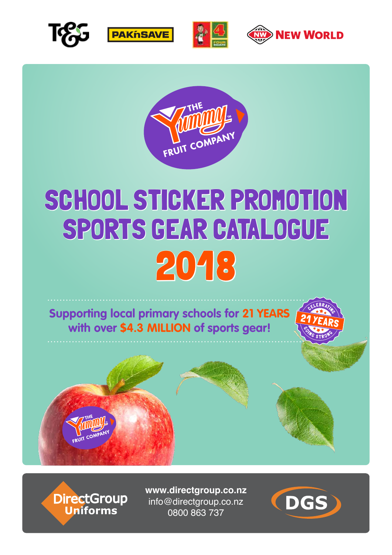









## SCHOOL STICKER PROMOTION SPORTS GEAR CATALOGUE 2018

**Supporting local primary schools for 21 YEARS with over \$4.3 MILLION of sports gear!**





DirectGroup<br>Uniforms

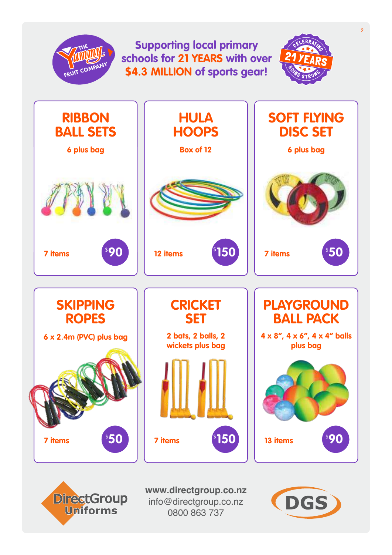

info@directgroup.co.nz 0800 863 737

**Uniforms** 

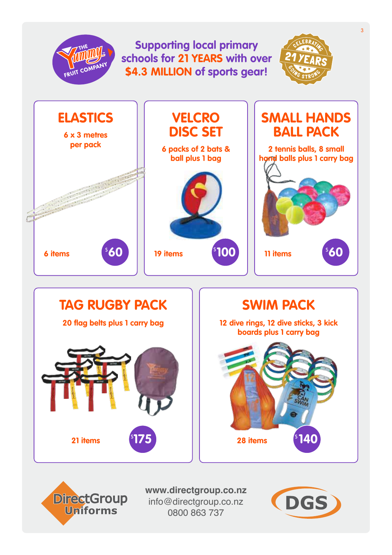## **Supporting local primary schools for 21 YEARS with over**  FRUIT CON **\$4.3 MILLION of sports gear!**







**6 x 3 metres per pack**

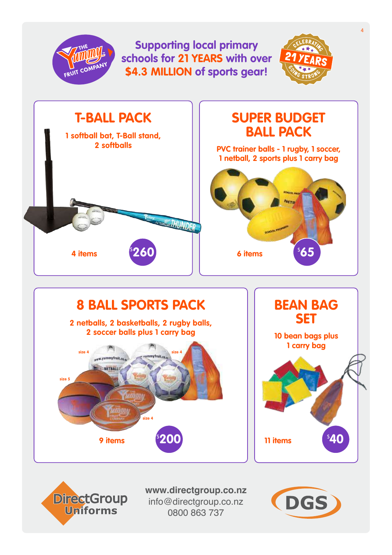



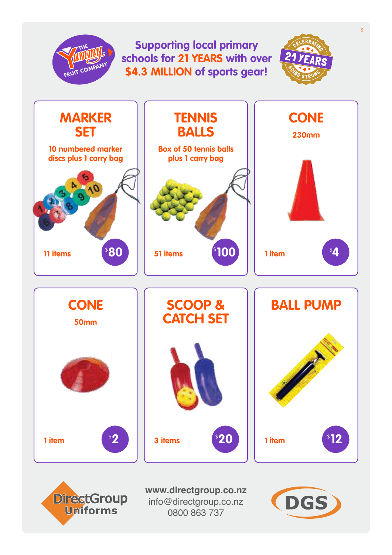## **Supporting local primary schools for 21 YEARS with over \$4.3 MILLION of sports gear!**

 $\overline{\text{TV}}$ 



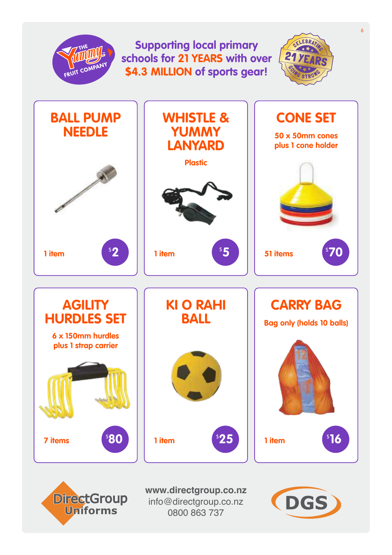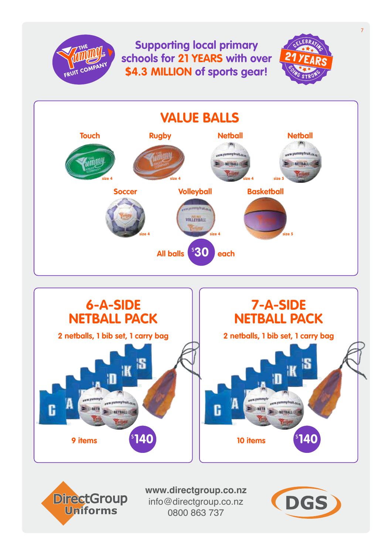